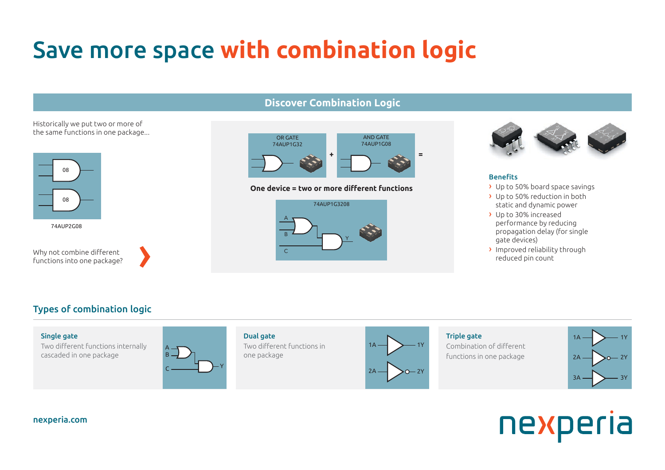## Save more space **with combination logic**

### **Discover Combination Logic**

#### Historically we put two or more of the same functions in one package...



74AUP2G08

Why not combine different functions into one package?





#### **One device = two or more different functions** 1Y 1A **Cone device**





#### **Benefits**

- $\rightarrow$  Up to 50% board space savings
- › Up to 50% reduction in both static and dynamic power A
- $\rightarrow$  Up to 30% increased performance by reducing propagation delay (for single gate devices) performance by reducing<br>propagation delay (for single
- › Improved reliability through 1Y **+ =** reduced pin count

### Types of combination logic



# nexperia

#### **nexperia.com**